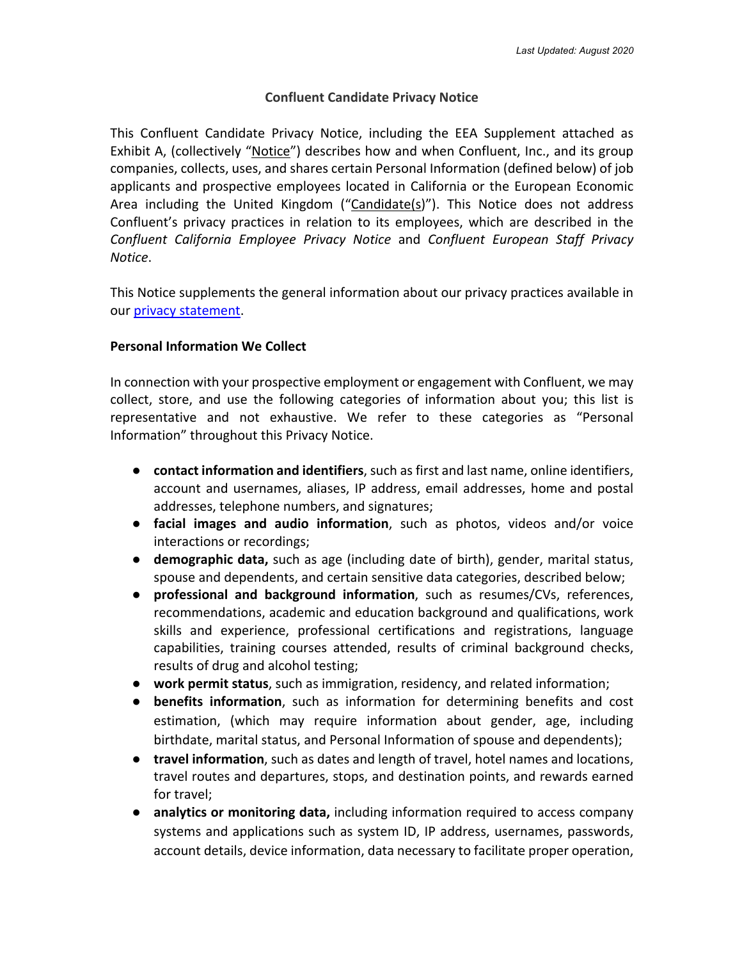## **Confluent Candidate Privacy Notice**

This Confluent Candidate Privacy Notice, including the EEA Supplement attached as Exhibit A, (collectively "Notice") describes how and when Confluent, Inc., and its group companies, collects, uses, and shares certain Personal Information (defined below) of job applicants and prospective employees located in California or the European Economic Area including the United Kingdom  $("Candidate(s)").$  This Notice does not address Confluent's privacy practices in relation to its employees, which are described in the *Confluent California Employee Privacy Notice* and *Confluent European Staff Privacy Notice*.

This Notice supplements the general information about our privacy practices available in our privacy statement.

#### **Personal Information We Collect**

In connection with your prospective employment or engagement with Confluent, we may collect, store, and use the following categories of information about you; this list is representative and not exhaustive. We refer to these categories as "Personal Information" throughout this Privacy Notice.

- **contact information and identifiers**, such as first and last name, online identifiers, account and usernames, aliases, IP address, email addresses, home and postal addresses, telephone numbers, and signatures;
- **facial images and audio information**, such as photos, videos and/or voice interactions or recordings;
- **demographic data,** such as age (including date of birth), gender, marital status, spouse and dependents, and certain sensitive data categories, described below;
- **professional and background information**, such as resumes/CVs, references, recommendations, academic and education background and qualifications, work skills and experience, professional certifications and registrations, language capabilities, training courses attended, results of criminal background checks, results of drug and alcohol testing;
- **work permit status**, such as immigration, residency, and related information;
- **benefits information**, such as information for determining benefits and cost estimation, (which may require information about gender, age, including birthdate, marital status, and Personal Information of spouse and dependents);
- **travel information**, such as dates and length of travel, hotel names and locations, travel routes and departures, stops, and destination points, and rewards earned for travel;
- **analytics or monitoring data,** including information required to access company systems and applications such as system ID, IP address, usernames, passwords, account details, device information, data necessary to facilitate proper operation,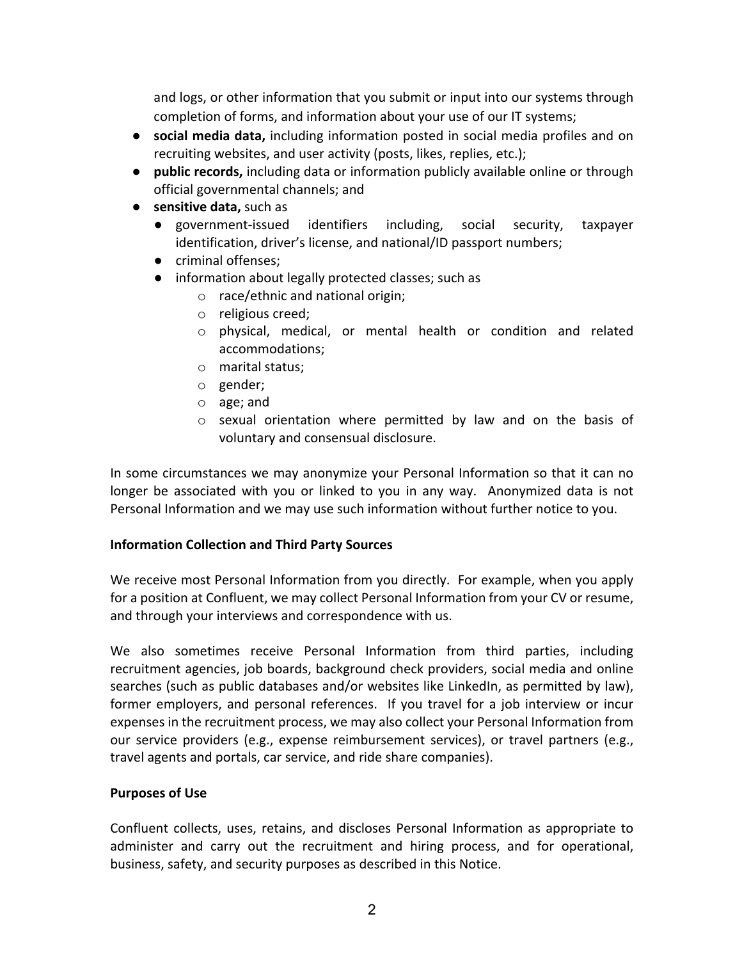and logs, or other information that you submit or input into our systems through completion of forms, and information about your use of our IT systems;

- **social media data,** including information posted in social media profiles and on recruiting websites, and user activity (posts, likes, replies, etc.);
- **public records,** including data or information publicly available online or through official governmental channels; and
- **sensitive data,** such as
	- government-issued identifiers including, social security, taxpayer identification, driver's license, and national/ID passport numbers;
	- criminal offenses;
	- information about legally protected classes; such as
		- o race/ethnic and national origin;
		- o religious creed;
		- o physical, medical, or mental health or condition and related accommodations;
		- o marital status;
		- o gender;
		- o age; and
		- o sexual orientation where permitted by law and on the basis of voluntary and consensual disclosure.

In some circumstances we may anonymize your Personal Information so that it can no longer be associated with you or linked to you in any way. Anonymized data is not Personal Information and we may use such information without further notice to you.

## **Information Collection and Third Party Sources**

We receive most Personal Information from you directly. For example, when you apply for a position at Confluent, we may collect Personal Information from your CV or resume, and through your interviews and correspondence with us.

We also sometimes receive Personal Information from third parties, including recruitment agencies, job boards, background check providers, social media and online searches (such as public databases and/or websites like LinkedIn, as permitted by law), former employers, and personal references. If you travel for a job interview or incur expenses in the recruitment process, we may also collect your Personal Information from our service providers (e.g., expense reimbursement services), or travel partners (e.g., travel agents and portals, car service, and ride share companies).

## **Purposes of Use**

Confluent collects, uses, retains, and discloses Personal Information as appropriate to administer and carry out the recruitment and hiring process, and for operational, business, safety, and security purposes as described in this Notice.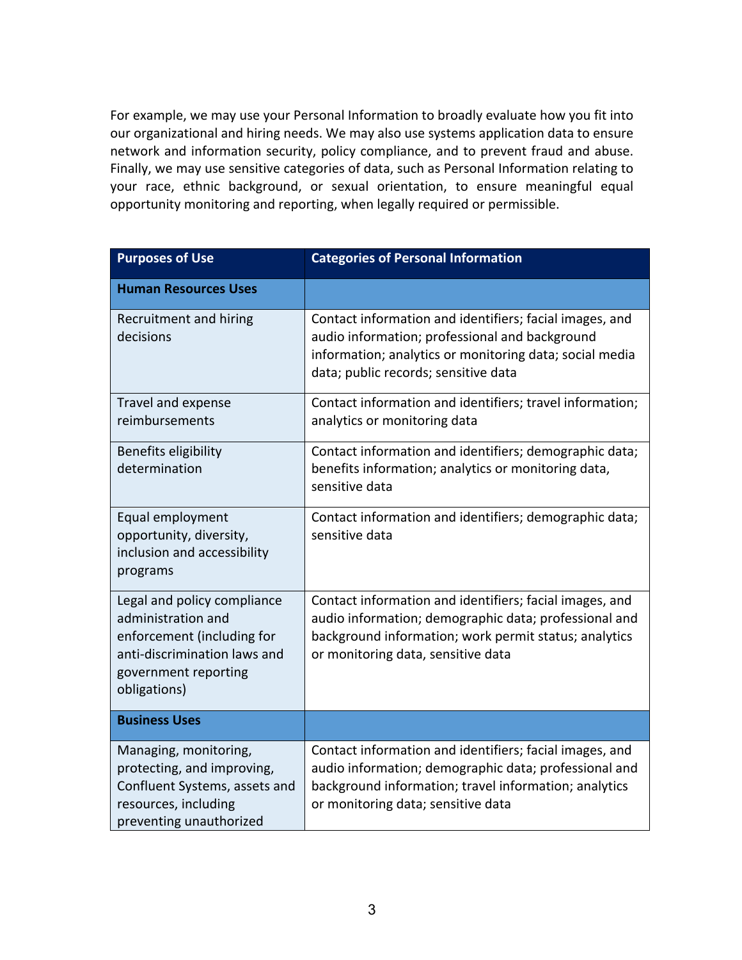For example, we may use your Personal Information to broadly evaluate how you fit into our organizational and hiring needs. We may also use systems application data to ensure network and information security, policy compliance, and to prevent fraud and abuse. Finally, we may use sensitive categories of data, such as Personal Information relating to your race, ethnic background, or sexual orientation, to ensure meaningful equal opportunity monitoring and reporting, when legally required or permissible.

| <b>Purposes of Use</b>                                                                                                                                  | <b>Categories of Personal Information</b>                                                                                                                                                                       |
|---------------------------------------------------------------------------------------------------------------------------------------------------------|-----------------------------------------------------------------------------------------------------------------------------------------------------------------------------------------------------------------|
| <b>Human Resources Uses</b>                                                                                                                             |                                                                                                                                                                                                                 |
| Recruitment and hiring<br>decisions                                                                                                                     | Contact information and identifiers; facial images, and<br>audio information; professional and background<br>information; analytics or monitoring data; social media<br>data; public records; sensitive data    |
| Travel and expense<br>reimbursements                                                                                                                    | Contact information and identifiers; travel information;<br>analytics or monitoring data                                                                                                                        |
| Benefits eligibility<br>determination                                                                                                                   | Contact information and identifiers; demographic data;<br>benefits information; analytics or monitoring data,<br>sensitive data                                                                                 |
| Equal employment<br>opportunity, diversity,<br>inclusion and accessibility<br>programs                                                                  | Contact information and identifiers; demographic data;<br>sensitive data                                                                                                                                        |
| Legal and policy compliance<br>administration and<br>enforcement (including for<br>anti-discrimination laws and<br>government reporting<br>obligations) | Contact information and identifiers; facial images, and<br>audio information; demographic data; professional and<br>background information; work permit status; analytics<br>or monitoring data, sensitive data |
| <b>Business Uses</b>                                                                                                                                    |                                                                                                                                                                                                                 |
| Managing, monitoring,<br>protecting, and improving,<br>Confluent Systems, assets and<br>resources, including<br>preventing unauthorized                 | Contact information and identifiers; facial images, and<br>audio information; demographic data; professional and<br>background information; travel information; analytics<br>or monitoring data; sensitive data |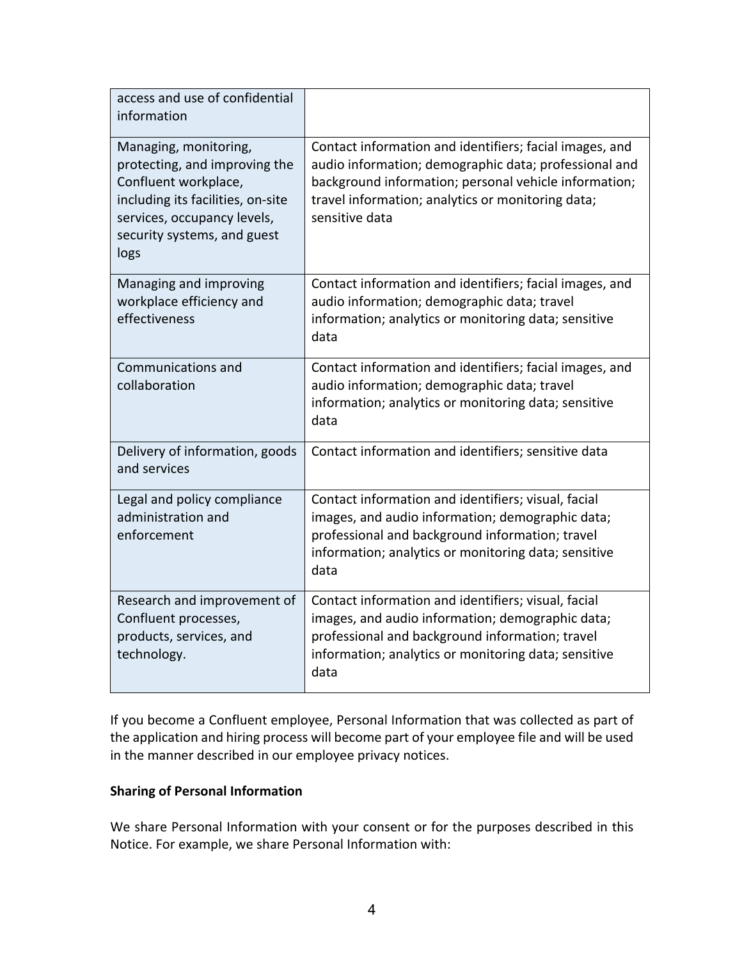| access and use of confidential<br>information                                                                                                                                             |                                                                                                                                                                                                                                                  |
|-------------------------------------------------------------------------------------------------------------------------------------------------------------------------------------------|--------------------------------------------------------------------------------------------------------------------------------------------------------------------------------------------------------------------------------------------------|
| Managing, monitoring,<br>protecting, and improving the<br>Confluent workplace,<br>including its facilities, on-site<br>services, occupancy levels,<br>security systems, and guest<br>logs | Contact information and identifiers; facial images, and<br>audio information; demographic data; professional and<br>background information; personal vehicle information;<br>travel information; analytics or monitoring data;<br>sensitive data |
| Managing and improving<br>workplace efficiency and<br>effectiveness                                                                                                                       | Contact information and identifiers; facial images, and<br>audio information; demographic data; travel<br>information; analytics or monitoring data; sensitive<br>data                                                                           |
| Communications and<br>collaboration                                                                                                                                                       | Contact information and identifiers; facial images, and<br>audio information; demographic data; travel<br>information; analytics or monitoring data; sensitive<br>data                                                                           |
| Delivery of information, goods<br>and services                                                                                                                                            | Contact information and identifiers; sensitive data                                                                                                                                                                                              |
| Legal and policy compliance<br>administration and<br>enforcement                                                                                                                          | Contact information and identifiers; visual, facial<br>images, and audio information; demographic data;<br>professional and background information; travel<br>information; analytics or monitoring data; sensitive<br>data                       |
| Research and improvement of<br>Confluent processes,<br>products, services, and<br>technology.                                                                                             | Contact information and identifiers; visual, facial<br>images, and audio information; demographic data;<br>professional and background information; travel<br>information; analytics or monitoring data; sensitive<br>data                       |

If you become a Confluent employee, Personal Information that was collected as part of the application and hiring process will become part of your employee file and will be used in the manner described in our employee privacy notices.

## **Sharing of Personal Information**

We share Personal Information with your consent or for the purposes described in this Notice. For example, we share Personal Information with: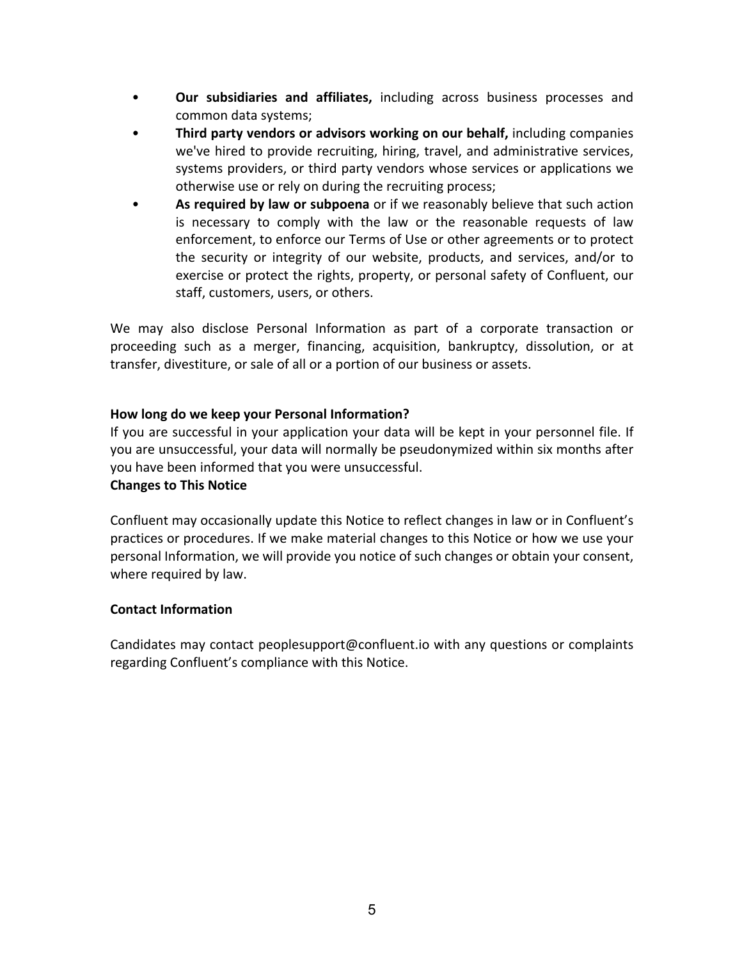- **Our subsidiaries and affiliates,** including across business processes and common data systems;
- **Third party vendors or advisors working on our behalf,** including companies we've hired to provide recruiting, hiring, travel, and administrative services, systems providers, or third party vendors whose services or applications we otherwise use or rely on during the recruiting process;
- **As required by law or subpoena** or if we reasonably believe that such action is necessary to comply with the law or the reasonable requests of law enforcement, to enforce our Terms of Use or other agreements or to protect the security or integrity of our website, products, and services, and/or to exercise or protect the rights, property, or personal safety of Confluent, our staff, customers, users, or others.

We may also disclose Personal Information as part of a corporate transaction or proceeding such as a merger, financing, acquisition, bankruptcy, dissolution, or at transfer, divestiture, or sale of all or a portion of our business or assets.

## **How long do we keep your Personal Information?**

If you are successful in your application your data will be kept in your personnel file. If you are unsuccessful, your data will normally be pseudonymized within six months after you have been informed that you were unsuccessful.

#### **Changes to This Notice**

Confluent may occasionally update this Notice to reflect changes in law or in Confluent's practices or procedures. If we make material changes to this Notice or how we use your personal Information, we will provide you notice of such changes or obtain your consent, where required by law.

#### **Contact Information**

Candidates may contact peoplesupport@confluent.io with any questions or complaints regarding Confluent's compliance with this Notice.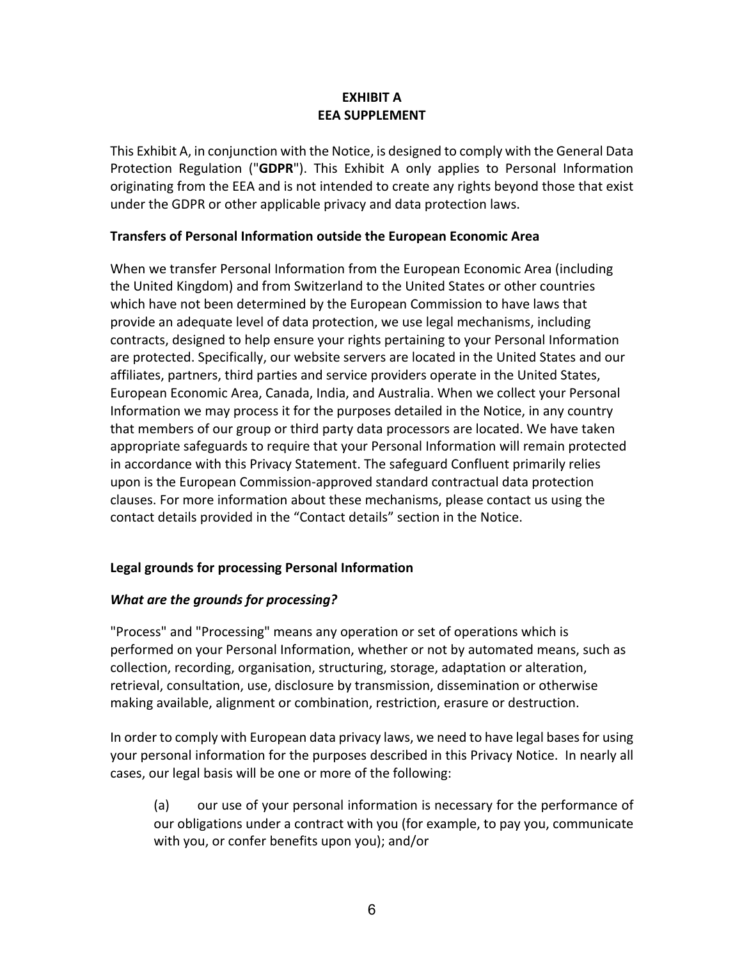## **EXHIBIT A EEA SUPPLEMENT**

This Exhibit A, in conjunction with the Notice, is designed to comply with the General Data Protection Regulation ("**GDPR**"). This Exhibit A only applies to Personal Information originating from the EEA and is not intended to create any rights beyond those that exist under the GDPR or other applicable privacy and data protection laws.

## **Transfers of Personal Information outside the European Economic Area**

When we transfer Personal Information from the European Economic Area (including the United Kingdom) and from Switzerland to the United States or other countries which have not been determined by the European Commission to have laws that provide an adequate level of data protection, we use legal mechanisms, including contracts, designed to help ensure your rights pertaining to your Personal Information are protected. Specifically, our website servers are located in the United States and our affiliates, partners, third parties and service providers operate in the United States, European Economic Area, Canada, India, and Australia. When we collect your Personal Information we may process it for the purposes detailed in the Notice, in any country that members of our group or third party data processors are located. We have taken appropriate safeguards to require that your Personal Information will remain protected in accordance with this Privacy Statement. The safeguard Confluent primarily relies upon is the European Commission-approved standard contractual data protection clauses. For more information about these mechanisms, please contact us using the contact details provided in the "Contact details" section in the Notice.

# **Legal grounds for processing Personal Information**

# *What are the grounds for processing?*

"Process" and "Processing" means any operation or set of operations which is performed on your Personal Information, whether or not by automated means, such as collection, recording, organisation, structuring, storage, adaptation or alteration, retrieval, consultation, use, disclosure by transmission, dissemination or otherwise making available, alignment or combination, restriction, erasure or destruction.

In order to comply with European data privacy laws, we need to have legal bases for using your personal information for the purposes described in this Privacy Notice. In nearly all cases, our legal basis will be one or more of the following:

(a) our use of your personal information is necessary for the performance of our obligations under a contract with you (for example, to pay you, communicate with you, or confer benefits upon you); and/or